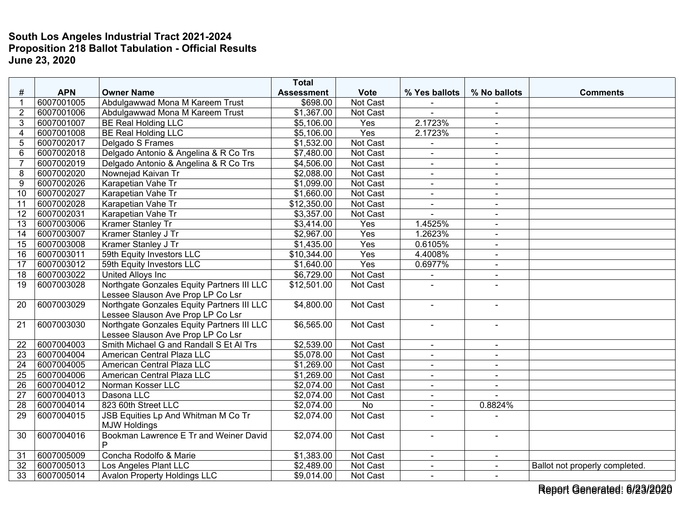| #               | <b>APN</b>               | <b>Owner Name</b>                                                               | <b>Total</b><br><b>Assessment</b> | <b>Vote</b>     | % Yes ballots            | % No ballots             | <b>Comments</b>                |
|-----------------|--------------------------|---------------------------------------------------------------------------------|-----------------------------------|-----------------|--------------------------|--------------------------|--------------------------------|
|                 | 6007001005               | Abdulgawwad Mona M Kareem Trust                                                 | \$698.00                          | Not Cast        |                          |                          |                                |
| $\overline{2}$  | 6007001006               | Abdulgawwad Mona M Kareem Trust                                                 | \$1,367.00                        | <b>Not Cast</b> | $\overline{a}$           | $\blacksquare$           |                                |
| 3               | 6007001007               | <b>BE Real Holding LLC</b>                                                      | \$5,106.00                        | Yes             | 2.1723%                  | $\blacksquare$           |                                |
| $\overline{4}$  | 6007001008               | <b>BE Real Holding LLC</b>                                                      | \$5,106.00                        | Yes             | 2.1723%                  |                          |                                |
| 5               | 6007002017               | Delgado S Frames                                                                | \$1,532.00                        | Not Cast        | $\blacksquare$           | $\blacksquare$<br>$\sim$ |                                |
| 6               | 6007002018               | Delgado Antonio & Angelina & R Co Trs                                           | \$7,480.00                        | Not Cast        | ÷,                       | $\blacksquare$           |                                |
| $\overline{7}$  | 6007002019               | Delgado Antonio & Angelina & R Co Trs                                           | \$4,506.00                        | Not Cast        | $\blacksquare$           |                          |                                |
| 8               | 6007002020               | Nownejad Kaivan Tr                                                              | \$2,088.00                        | <b>Not Cast</b> |                          | $\sim$                   |                                |
| 9               | 6007002026               | Karapetian Vahe Tr                                                              | \$1,099.00                        | Not Cast        | $\blacksquare$           |                          |                                |
| 10              | 6007002027               | Karapetian Vahe Tr                                                              | \$1,660.00                        | Not Cast        |                          | $\sim$                   |                                |
|                 | 6007002028               | Karapetian Vahe Tr                                                              |                                   | Not Cast        | $\blacksquare$           | $\blacksquare$           |                                |
| 11<br>12        | 6007002031               | Karapetian Vahe Tr                                                              | \$12,350.00<br>\$3,357.00         | Not Cast        | $\overline{\phantom{a}}$ | $\sim$<br>$\sim$         |                                |
|                 |                          |                                                                                 |                                   |                 |                          |                          |                                |
| 13              | 6007003006<br>6007003007 | Kramer Stanley Tr                                                               | \$3,414.00<br>\$2,967.00          | Yes<br>Yes      | 1.4525%<br>1.2623%       | $\blacksquare$           |                                |
| 14              |                          | Kramer Stanley J Tr                                                             |                                   |                 |                          | $\overline{a}$           |                                |
| 15              | 6007003008               | Kramer Stanley J Tr                                                             | \$1,435.00                        | Yes             | 0.6105%                  | $\overline{a}$           |                                |
| 16              | 6007003011               | 59th Equity Investors LLC                                                       | \$10,344.00                       | Yes             | 4.4008%                  | $\sim$                   |                                |
| 17              | 6007003012               | 59th Equity Investors LLC                                                       | \$1,640.00                        | Yes             | 0.6977%                  | $\sim$                   |                                |
| 18              | 6007003022               | <b>United Alloys Inc</b>                                                        | \$6,729.00                        | Not Cast        |                          | $\sim$                   |                                |
| 19              | 6007003028               | Northgate Gonzales Equity Partners III LLC<br>Lessee Slauson Ave Prop LP Co Lsr | \$12,501.00                       | Not Cast        |                          |                          |                                |
| 20              | 6007003029               | Northgate Gonzales Equity Partners III LLC<br>Lessee Slauson Ave Prop LP Co Lsr | \$4,800.00                        | Not Cast        | $\overline{a}$           | $\overline{a}$           |                                |
| 21              | 6007003030               | Northgate Gonzales Equity Partners III LLC<br>Lessee Slauson Ave Prop LP Co Lsr | \$6,565.00                        | Not Cast        | $\blacksquare$           | $\sim$                   |                                |
| 22              | 6007004003               | Smith Michael G and Randall S Et Al Trs                                         | \$2,539.00                        | Not Cast        | $\blacksquare$           | $\blacksquare$           |                                |
| 23              | 6007004004               | American Central Plaza LLC                                                      | \$5,078.00                        | Not Cast        | $\blacksquare$           | $\blacksquare$           |                                |
| $\overline{24}$ | 6007004005               | American Central Plaza LLC                                                      | \$1,269.00                        | Not Cast        | $\sim$                   | $\sim$                   |                                |
| 25              | 6007004006               | American Central Plaza LLC                                                      | \$1,269.00                        | Not Cast        | $\blacksquare$           | $\blacksquare$           |                                |
| 26              | 6007004012               | Norman Kosser LLC                                                               | \$2,074.00                        | Not Cast        | $\overline{a}$           | $\sim$                   |                                |
| $\overline{27}$ | 6007004013               | Dasona LLC                                                                      | \$2,074.00                        | Not Cast        | $\blacksquare$           | $\sim$                   |                                |
| 28              | 6007004014               | 823 60th Street LLC                                                             | \$2,074.00                        | No              | $\blacksquare$           | 0.8824%                  |                                |
| 29              | 6007004015               | JSB Equities Lp And Whitman M Co Tr                                             | \$2,074.00                        | Not Cast        | $\blacksquare$           |                          |                                |
|                 |                          | <b>MJW Holdings</b>                                                             |                                   |                 |                          |                          |                                |
| 30              | 6007004016               | Bookman Lawrence E Tr and Weiner David<br>P                                     | \$2,074.00                        | Not Cast        | $\blacksquare$           | $\overline{a}$           |                                |
| 31              | 6007005009               | Concha Rodolfo & Marie                                                          | \$1,383.00                        | Not Cast        | $\sim$                   | $\blacksquare$           |                                |
| 32              | 6007005013               | Los Angeles Plant LLC                                                           | \$2,489.00                        | Not Cast        | $\blacksquare$           | $\sim$                   | Ballot not properly completed. |
| 33              | 6007005014               | <b>Avalon Property Holdings LLC</b>                                             | \$9,014.00                        | Not Cast        | $\blacksquare$           | $\sim$                   |                                |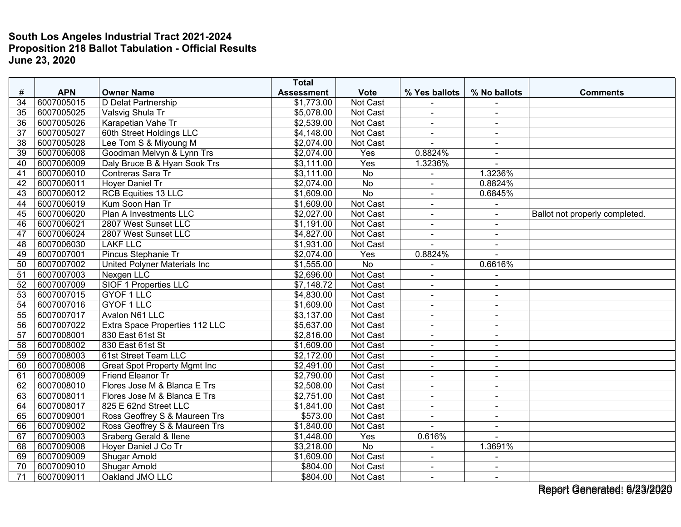|                 |            |                                     | <b>Total</b>      |                 |                |                          |                                |
|-----------------|------------|-------------------------------------|-------------------|-----------------|----------------|--------------------------|--------------------------------|
| #               | <b>APN</b> | <b>Owner Name</b>                   | <b>Assessment</b> | <b>Vote</b>     | % Yes ballots  | % No ballots             | <b>Comments</b>                |
| 34              | 6007005015 | D Delat Partnership                 | \$1,773.00        | Not Cast        |                |                          |                                |
| 35              | 6007005025 | Valsvig Shula Tr                    | \$5,078.00        | Not Cast        | $\blacksquare$ | $\sim$                   |                                |
| 36              | 6007005026 | Karapetian Vahe Tr                  | \$2,539.00        | Not Cast        | $\blacksquare$ | $\sim$                   |                                |
| 37              | 6007005027 | 60th Street Holdings LLC            | \$4,148.00        | Not Cast        | $\blacksquare$ |                          |                                |
| 38              | 6007005028 | Lee Tom S & Miyoung M               | \$2,074.00        | Not Cast        | $\sim$         | $\sim$                   |                                |
| $\overline{39}$ | 6007006008 | Goodman Melvyn & Lynn Trs           | \$2,074.00        | Yes             | 0.8824%        | $\sim$                   |                                |
| 40              | 6007006009 | Daly Bruce B & Hyan Sook Trs        | \$3,111.00        | Yes             | 1.3236%        |                          |                                |
| 41              | 6007006010 | Contreras Sara Tr                   | \$3,111.00        | <b>No</b>       |                | 1.3236%                  |                                |
| 42              | 6007006011 | Hoyer Daniel Tr                     | \$2,074.00        | No              | $\blacksquare$ | 0.8824%                  |                                |
| 43              | 6007006012 | <b>RCB Equities 13 LLC</b>          | \$1,609.00        | <b>No</b>       | $\blacksquare$ | 0.6845%                  |                                |
| 44              | 6007006019 | Kum Soon Han Tr                     | \$1,609.00        | Not Cast        | $\blacksquare$ |                          |                                |
| 45              | 6007006020 | Plan A Investments LLC              | \$2,027.00        | Not Cast        | $\sim$         | $\overline{a}$           | Ballot not properly completed. |
| 46              | 6007006021 | 2807 West Sunset LLC                | \$1,191.00        | Not Cast        | $\blacksquare$ | $\sim$                   |                                |
| 47              | 6007006024 | 2807 West Sunset LLC                | \$4,827.00        | Not Cast        | $\blacksquare$ | $\blacksquare$           |                                |
| $\overline{48}$ | 6007006030 | <b>LAKF LLC</b>                     | \$1,931.00        | Not Cast        | $\overline{a}$ | $\mathbf{r}$             |                                |
| 49              | 6007007001 | Pincus Stephanie Tr                 | \$2,074.00        | Yes             | 0.8824%        | $\overline{\phantom{a}}$ |                                |
| 50              | 6007007002 | <b>United Polyner Materials Inc</b> | \$1,555.00        | <b>No</b>       | $\blacksquare$ | 0.6616%                  |                                |
| 51              | 6007007003 | Nexgen LLC                          | \$2,696.00        | Not Cast        |                |                          |                                |
| 52              | 6007007009 | SIOF 1 Properties LLC               | \$7,148.72        | Not Cast        | $\blacksquare$ | $\blacksquare$           |                                |
| 53              | 6007007015 | GYOF 1 LLC                          | \$4,830.00        | <b>Not Cast</b> | $\blacksquare$ | $\sim$                   |                                |
| 54              | 6007007016 | <b>GYOF 1 LLC</b>                   | \$1,609.00        | Not Cast        | $\blacksquare$ | $\blacksquare$           |                                |
| 55              | 6007007017 | Avalon N61 LLC                      | \$3,137.00        | Not Cast        | $\blacksquare$ | $\sim$                   |                                |
| 56              | 6007007022 | Extra Space Properties 112 LLC      | \$5,637.00        | Not Cast        | $\blacksquare$ | $\sim$                   |                                |
| $\overline{57}$ | 6007008001 | 830 East 61st St                    | \$2,816.00        | Not Cast        | $\blacksquare$ | $\overline{a}$           |                                |
| 58              | 6007008002 | 830 East 61st St                    | \$1,609.00        | Not Cast        | $\blacksquare$ | $\blacksquare$           |                                |
| 59              | 6007008003 | 61st Street Team LLC                | \$2,172.00        | Not Cast        | $\blacksquare$ | $\blacksquare$           |                                |
| 60              | 6007008008 | <b>Great Spot Property Mgmt Inc</b> | \$2,491.00        | Not Cast        | $\overline{a}$ | $\overline{a}$           |                                |
| 61              | 6007008009 | Friend Eleanor Tr                   | \$2,790.00        | Not Cast        | $\blacksquare$ | $\sim$                   |                                |
| 62              | 6007008010 | Flores Jose M & Blanca E Trs        | \$2,508.00        | Not Cast        | ÷,             |                          |                                |
| 63              | 6007008011 | Flores Jose M & Blanca E Trs        | \$2,751.00        | Not Cast        | $\blacksquare$ | $\blacksquare$           |                                |
| 64              | 6007008017 | 825 E 62nd Street LLC               | \$1,841.00        | Not Cast        | $\blacksquare$ | $\blacksquare$           |                                |
| 65              | 6007009001 | Ross Geoffrey S & Maureen Trs       | \$573.00          | Not Cast        | $\blacksquare$ | $\blacksquare$           |                                |
| 66              | 6007009002 | Ross Geoffrey S & Maureen Trs       | \$1,840.00        | Not Cast        | $\overline{a}$ | $\sim$                   |                                |
| 67              | 6007009003 | Sraberg Gerald & Ilene              | \$1,448.00        | Yes             | 0.616%         | $\overline{a}$           |                                |
| 68              | 6007009008 | Hoyer Daniel J Co Tr                | \$3,218.00        | <b>No</b>       | $\blacksquare$ | 1.3691%                  |                                |
| 69              | 6007009009 | <b>Shugar Arnold</b>                | \$1,609.00        | Not Cast        | L.             |                          |                                |
| 70              | 6007009010 | <b>Shugar Arnold</b>                | \$804.00          | Not Cast        | $\blacksquare$ |                          |                                |
| 71              | 6007009011 | Oakland JMO LLC                     | \$804.00          | Not Cast        | $\blacksquare$ | $\sim$                   |                                |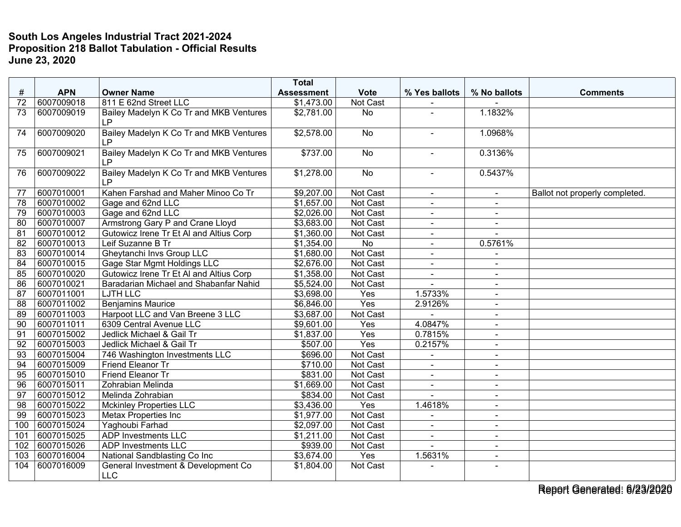|                 |            |                                                      | <b>Total</b>      |                 |                      |                |                                |
|-----------------|------------|------------------------------------------------------|-------------------|-----------------|----------------------|----------------|--------------------------------|
| #               | <b>APN</b> | <b>Owner Name</b>                                    | <b>Assessment</b> | <b>Vote</b>     | % Yes ballots        | % No ballots   | <b>Comments</b>                |
| 72              | 6007009018 | 811 E 62nd Street LLC                                | \$1,473.00        | Not Cast        |                      |                |                                |
| 73              | 6007009019 | Bailey Madelyn K Co Tr and MKB Ventures<br>LP.       | \$2,781.00        | <b>No</b>       |                      | 1.1832%        |                                |
| 74              | 6007009020 | Bailey Madelyn K Co Tr and MKB Ventures<br><b>LP</b> | \$2,578.00        | No              | $\blacksquare$       | 1.0968%        |                                |
| 75              | 6007009021 | Bailey Madelyn K Co Tr and MKB Ventures<br><b>LP</b> | \$737.00          | No              |                      | 0.3136%        |                                |
| 76              | 6007009022 | Bailey Madelyn K Co Tr and MKB Ventures<br><b>LP</b> | \$1,278.00        | No              | $\blacksquare$       | 0.5437%        |                                |
| 77              | 6007010001 | Kahen Farshad and Maher Minoo Co Tr                  | \$9,207.00        | <b>Not Cast</b> | $\blacksquare$       |                | Ballot not properly completed. |
| 78              | 6007010002 | Gage and 62nd LLC                                    | \$1,657.00        | Not Cast        | $\sim$               | $\blacksquare$ |                                |
| 79              | 6007010003 | Gage and 62nd LLC                                    | \$2,026.00        | Not Cast        | $\sim$               | $\blacksquare$ |                                |
| 80              | 6007010007 | Armstrong Gary P and Crane Lloyd                     | \$3,683.00        | <b>Not Cast</b> | $\blacksquare$       | $\blacksquare$ |                                |
| 81              | 6007010012 | Gutowicz Irene Tr Et Al and Altius Corp              | \$1,360.00        | Not Cast        |                      |                |                                |
| 82              | 6007010013 | Leif Suzanne B Tr                                    | \$1,354.00        | No              | $\blacksquare$       | 0.5761%        |                                |
| 83              | 6007010014 | <b>Gheytanchi Invs Group LLC</b>                     | \$1,680.00        | Not Cast        | $\sim$               | $\blacksquare$ |                                |
| 84              | 6007010015 | <b>Gage Star Mgmt Holdings LLC</b>                   | \$2,676.00        | Not Cast        | $\blacksquare$       | $\blacksquare$ |                                |
| 85              | 6007010020 | Gutowicz Irene Tr Et Al and Altius Corp              | \$1,358.00        | Not Cast        | $\blacksquare$       | $\blacksquare$ |                                |
| 86              | 6007010021 | Baradarian Michael and Shabanfar Nahid               | \$5,524.00        | <b>Not Cast</b> | $\overline{a}$       | $\blacksquare$ |                                |
| 87              | 6007011001 | <b>LJTH LLC</b>                                      | \$3,698.00        | Yes             | 1.5733%              | $\blacksquare$ |                                |
| 88              | 6007011002 | <b>Benjamins Maurice</b>                             | \$6,846.00        | Yes             | 2.9126%              | $\sim$         |                                |
| 89              | 6007011003 | Harpoot LLC and Van Breene 3 LLC                     | \$3,687.00        | Not Cast        |                      | $\sim$         |                                |
| 90              | 6007011011 | 6309 Central Avenue LLC                              | \$9,601.00        | Yes             | 4.0847%              | $\blacksquare$ |                                |
| 91              | 6007015002 | Jedlick Michael & Gail Tr                            | \$1,837.00        | Yes             | 0.7815%              | $\blacksquare$ |                                |
| 92              | 6007015003 | Jedlick Michael & Gail Tr                            | \$507.00          | Yes             | 0.2157%              | $\blacksquare$ |                                |
| 93              | 6007015004 | 746 Washington Investments LLC                       | \$696.00          | Not Cast        |                      | $\blacksquare$ |                                |
| 94              | 6007015009 | Friend Eleanor Tr                                    | \$710.00          | Not Cast        | $\ddot{\phantom{1}}$ | $\blacksquare$ |                                |
| 95              | 6007015010 | Friend Eleanor Tr                                    | \$831.00          | Not Cast        | $\ddot{\phantom{1}}$ | $\blacksquare$ |                                |
| 96              | 6007015011 | Zohrabian Melinda                                    | \$1,669.00        | <b>Not Cast</b> |                      |                |                                |
| 97              | 6007015012 | Melinda Zohrabian                                    | \$834.00          | Not Cast        | $\overline{a}$       | $\sim$         |                                |
| 98              | 6007015022 | <b>Mckinley Properties LLC</b>                       | \$3,436.00        | Yes             | 1.4618%              | $\sim$         |                                |
| $\overline{99}$ | 6007015023 | <b>Metax Properties Inc</b>                          | \$1,977.00        | Not Cast        |                      | $\blacksquare$ |                                |
| 100             | 6007015024 | Yaghoubi Farhad                                      | \$2,097.00        | Not Cast        |                      | $\blacksquare$ |                                |
| 101             | 6007015025 | <b>ADP Investments LLC</b>                           | \$1,211.00        | Not Cast        | $\sim$               | $\blacksquare$ |                                |
| 102             | 6007015026 | <b>ADP Investments LLC</b>                           | \$939.00          | Not Cast        |                      | $\sim$         |                                |
| 103             | 6007016004 | National Sandblasting Co Inc                         | \$3,674.00        | Yes             | 1.5631%              | $\blacksquare$ |                                |
| 104             | 6007016009 | General Investment & Development Co<br><b>LLC</b>    | \$1,804.00        | Not Cast        |                      | $\sim$         |                                |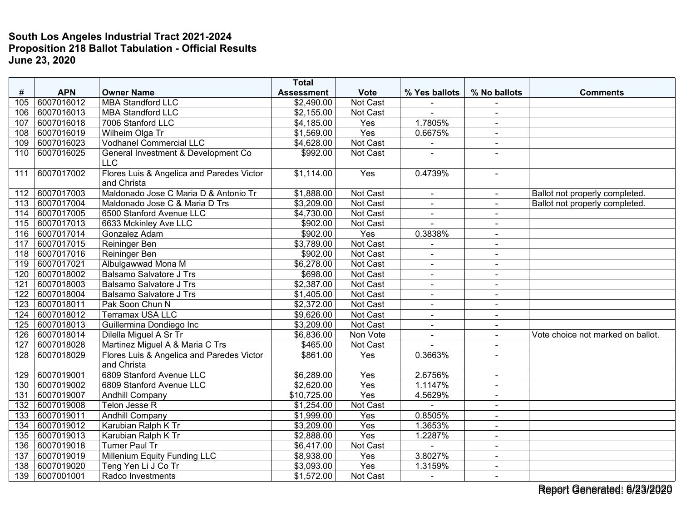|                 |            |                                                          | <b>Total</b>      |             |                |                |                                   |
|-----------------|------------|----------------------------------------------------------|-------------------|-------------|----------------|----------------|-----------------------------------|
| #               | <b>APN</b> | <b>Owner Name</b>                                        | <b>Assessment</b> | <b>Vote</b> | % Yes ballots  | % No ballots   | <b>Comments</b>                   |
| 105             | 6007016012 | <b>MBA Standford LLC</b>                                 | \$2,490.00        | Not Cast    |                |                |                                   |
| 106             | 6007016013 | <b>MBA Standford LLC</b>                                 | \$2,155.00        | Not Cast    |                | $\blacksquare$ |                                   |
| 107             | 6007016018 | 7006 Stanford LLC                                        | \$4,185.00        | Yes         | 1.7805%        | $\blacksquare$ |                                   |
| 108             | 6007016019 | Wilheim Olga Tr                                          | \$1,569.00        | Yes         | 0.6675%        | $\blacksquare$ |                                   |
| 109             | 6007016023 | <b>Vodhanel Commercial LLC</b>                           | \$4,628.00        | Not Cast    | $\blacksquare$ | $\blacksquare$ |                                   |
| 110             | 6007016025 | General Investment & Development Co<br><b>LLC</b>        | \$992.00          | Not Cast    |                |                |                                   |
| 111             | 6007017002 | Flores Luis & Angelica and Paredes Victor<br>and Christa | \$1,114.00        | Yes         | 0.4739%        | $\blacksquare$ |                                   |
| 112             | 6007017003 | Maldonado Jose C Maria D & Antonio Tr                    | \$1,888.00        | Not Cast    | $\blacksquare$ | $\blacksquare$ | Ballot not properly completed.    |
| 113             | 6007017004 | Maldonado Jose C & Maria D Trs                           | \$3,209.00        | Not Cast    | $\blacksquare$ |                | Ballot not properly completed.    |
| 114             | 6007017005 | 6500 Stanford Avenue LLC                                 | \$4,730.00        | Not Cast    | $\blacksquare$ | $\sim$         |                                   |
| 115             | 6007017013 | 6633 Mckinley Ave LLC                                    | \$902.00          | Not Cast    |                | $\sim$         |                                   |
| 116             | 6007017014 | Gonzalez Adam                                            | \$902.00          | Yes         | 0.3838%        |                |                                   |
| 117             | 6007017015 | <b>Reininger Ben</b>                                     | \$3,789.00        | Not Cast    |                | $\blacksquare$ |                                   |
| 118             | 6007017016 | <b>Reininger Ben</b>                                     | \$902.00          | Not Cast    | $\blacksquare$ | $\blacksquare$ |                                   |
| 119             | 6007017021 | Albulgawwad Mona M                                       | \$6,278.00        | Not Cast    | $\blacksquare$ | $\blacksquare$ |                                   |
| 120             | 6007018002 | <b>Balsamo Salvatore J Trs</b>                           | \$698.00          | Not Cast    |                | $\blacksquare$ |                                   |
| 121             | 6007018003 | <b>Balsamo Salvatore J Trs</b>                           | \$2,387.00        | Not Cast    | $\blacksquare$ | $\blacksquare$ |                                   |
| 122             | 6007018004 | <b>Balsamo Salvatore J Trs</b>                           | \$1,405.00        | Not Cast    | $\blacksquare$ | $\sim$         |                                   |
| 123             | 6007018011 | Pak Soon Chun N                                          | \$2,372.00        | Not Cast    |                | $\blacksquare$ |                                   |
| 124             | 6007018012 | <b>Terramax USA LLC</b>                                  | \$9,626.00        | Not Cast    | $\mathbf{r}$   | $\blacksquare$ |                                   |
| 125             | 6007018013 | Guillermina Dondiego Inc                                 | \$3,209.00        | Not Cast    | $\blacksquare$ | $\sim$         |                                   |
| 126             | 6007018014 | Dilella Miguel A Sr Tr                                   | \$6,836.00        | Non Vote    | $\blacksquare$ | $\blacksquare$ | Vote choice not marked on ballot. |
| 127             | 6007018028 | Martinez Miguel A & Maria C Trs                          | \$465.00          | Not Cast    |                |                |                                   |
| 128             | 6007018029 | Flores Luis & Angelica and Paredes Victor<br>and Christa | \$861.00          | Yes         | 0.3663%        |                |                                   |
| 129             | 6007019001 | 6809 Stanford Avenue LLC                                 | \$6,289.00        | Yes         | 2.6756%        | $\sim$         |                                   |
| 130             | 6007019002 | 6809 Stanford Avenue LLC                                 | \$2,620.00        | Yes         | 1.1147%        | $\sim$         |                                   |
| 131             | 6007019007 | <b>Andhill Company</b>                                   | \$10,725.00       | Yes         | 4.5629%        | $\blacksquare$ |                                   |
| 132             | 6007019008 | Telon Jesse R                                            | \$1,254.00        | Not Cast    |                | $\sim$         |                                   |
| 133             | 6007019011 | <b>Andhill Company</b>                                   | \$1,999.00        | Yes         | 0.8505%        | $\sim$         |                                   |
| $\frac{134}{ }$ | 6007019012 | Karubian Ralph K Tr                                      | \$3,209.00        | Yes         | 1.3653%        | $\blacksquare$ |                                   |
| 135             | 6007019013 | Karubian Ralph K Tr                                      | \$2,888.00        | Yes         | 1.2287%        | $\blacksquare$ |                                   |
| 136             | 6007019018 | <b>Turner Paul Tr</b>                                    | \$6,417.00        | Not Cast    |                | $\sim$         |                                   |
| 137             | 6007019019 | Millenium Equity Funding LLC                             | \$8,938.00        | Yes         | 3.8027%        | $\sim$         |                                   |
| 138             | 6007019020 | Teng Yen Li J Co Tr                                      | \$3,093.00        | Yes         | 1.3159%        | $\sim$         |                                   |
| 139             | 6007001001 | Radco Investments                                        | \$1,572.00        | Not Cast    | $\blacksquare$ | $\blacksquare$ |                                   |

Report Generated: 6/23/2020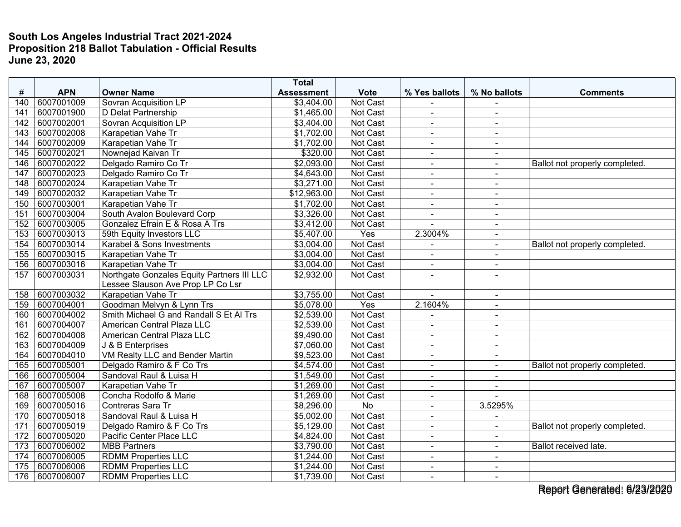|     |            |                                            | <b>Total</b>      |                 |                |                |                                |
|-----|------------|--------------------------------------------|-------------------|-----------------|----------------|----------------|--------------------------------|
| #   | <b>APN</b> | <b>Owner Name</b>                          | <b>Assessment</b> | <b>Vote</b>     | % Yes ballots  | % No ballots   | <b>Comments</b>                |
| 140 | 6007001009 | Sovran Acquisition LP                      | \$3,404.00        | Not Cast        |                |                |                                |
| 141 | 6007001900 | D Delat Partnership                        | \$1,465.00        | <b>Not Cast</b> | ÷.             | $\sim$         |                                |
| 142 | 6007002001 | <b>Sovran Acquisition LP</b>               | \$3,404.00        | Not Cast        | $\blacksquare$ | $\blacksquare$ |                                |
| 143 | 6007002008 | Karapetian Vahe Tr                         | \$1,702.00        | Not Cast        | $\sim$         | $\blacksquare$ |                                |
| 144 | 6007002009 | Karapetian Vahe Tr                         | \$1,702.00        | Not Cast        | $\blacksquare$ | $\sim$         |                                |
| 145 | 6007002021 | Nownejad Kaivan Tr                         | \$320.00          | Not Cast        | $\blacksquare$ | $\sim$         |                                |
| 146 | 6007002022 | Delgado Ramiro Co Tr                       | \$2,093.00        | Not Cast        |                | $\sim$         | Ballot not properly completed. |
| 147 | 6007002023 | Delgado Ramiro Co Tr                       | \$4,643.00        | Not Cast        | $\blacksquare$ | $\sim$         |                                |
| 148 | 6007002024 | Karapetian Vahe Tr                         | \$3,271.00        | Not Cast        | ÷.             | $\blacksquare$ |                                |
| 149 | 6007002032 | Karapetian Vahe Tr                         | \$12,963.00       | Not Cast        | $\blacksquare$ | $\sim$         |                                |
| 150 | 6007003001 | Karapetian Vahe Tr                         | \$1,702.00        | Not Cast        | $\blacksquare$ | $\sim$         |                                |
| 151 | 6007003004 | South Avalon Boulevard Corp                | \$3,326.00        | Not Cast        | $\blacksquare$ | $\sim$         |                                |
| 152 | 6007003005 | Gonzalez Efrain E & Rosa A Trs             | \$3,412.00        | Not Cast        |                | $\blacksquare$ |                                |
| 153 | 6007003013 | 59th Equity Investors LLC                  | \$5,407.00        | Yes             | 2.3004%        | $\sim$         |                                |
| 154 | 6007003014 | Karabel & Sons Investments                 | \$3,004.00        | Not Cast        |                | $\sim$         | Ballot not properly completed. |
| 155 | 6007003015 | Karapetian Vahe Tr                         | \$3,004.00        | Not Cast        | ÷,             | $\blacksquare$ |                                |
| 156 | 6007003016 | Karapetian Vahe Tr                         | \$3,004.00        | Not Cast        | $\blacksquare$ | $\sim$         |                                |
| 157 | 6007003031 | Northgate Gonzales Equity Partners III LLC | \$2,932.00        | Not Cast        | ÷.             | $\sim$         |                                |
|     |            | Lessee Slauson Ave Prop LP Co Lsr          |                   |                 |                |                |                                |
| 158 | 6007003032 | Karapetian Vahe Tr                         | \$3,755.00        | Not Cast        |                | $\sim$         |                                |
| 159 | 6007004001 | Goodman Melvyn & Lynn Trs                  | \$5,078.00        | Yes             | 2.1604%        | $\overline{a}$ |                                |
| 160 | 6007004002 | Smith Michael G and Randall S Et Al Trs    | \$2,539.00        | <b>Not Cast</b> | $\blacksquare$ | $\sim$         |                                |
| 161 | 6007004007 | American Central Plaza LLC                 | \$2,539.00        | Not Cast        | ä,             | $\blacksquare$ |                                |
| 162 | 6007004008 | American Central Plaza LLC                 | \$9,490.00        | Not Cast        | $\blacksquare$ | $\sim$         |                                |
| 163 | 6007004009 | J & B Enterprises                          | \$7,060.00        | Not Cast        | $\blacksquare$ | $\blacksquare$ |                                |
| 164 | 6007004010 | VM Realty LLC and Bender Martin            | \$9,523.00        | Not Cast        | $\blacksquare$ | $\sim$         |                                |
| 165 | 6007005001 | Delgado Ramiro & F Co Trs                  | \$4,574.00        | Not Cast        | $\blacksquare$ | $\sim$         | Ballot not properly completed. |
| 166 | 6007005004 | Sandoval Raul & Luisa H                    | \$1,549.00        | Not Cast        |                |                |                                |
| 167 | 6007005007 | Karapetian Vahe Tr                         | \$1,269.00        | Not Cast        | $\sim$         | $\sim$         |                                |
| 168 | 6007005008 | Concha Rodolfo & Marie                     | \$1,269.00        | Not Cast        | $\blacksquare$ | $\sim$         |                                |
| 169 | 6007005016 | Contreras Sara Tr                          | \$8,296.00        | No              | $\blacksquare$ | 3.5295%        |                                |
| 170 | 6007005018 | Sandoval Raul & Luisa H                    | \$5,002.00        | Not Cast        | $\overline{a}$ |                |                                |
| 171 | 6007005019 | Delgado Ramiro & F Co Trs                  | \$5,129.00        | Not Cast        | $\blacksquare$ | $\sim$         | Ballot not properly completed. |
| 172 | 6007005020 | Pacific Center Place LLC                   | \$4,824.00        | Not Cast        | $\blacksquare$ | $\sim$         |                                |
| 173 | 6007006002 | <b>MBB Partners</b>                        | \$3,790.00        | Not Cast        |                |                | Ballot received late.          |
| 174 | 6007006005 | <b>RDMM Properties LLC</b>                 | \$1,244.00        | Not Cast        | $\blacksquare$ | $\sim$         |                                |
| 175 | 6007006006 | <b>RDMM Properties LLC</b>                 | \$1,244.00        | Not Cast        | $\sim$         | $\sim$         |                                |
| 176 | 6007006007 | <b>RDMM Properties LLC</b>                 | \$1,739.00        | Not Cast        | $\blacksquare$ | $\blacksquare$ |                                |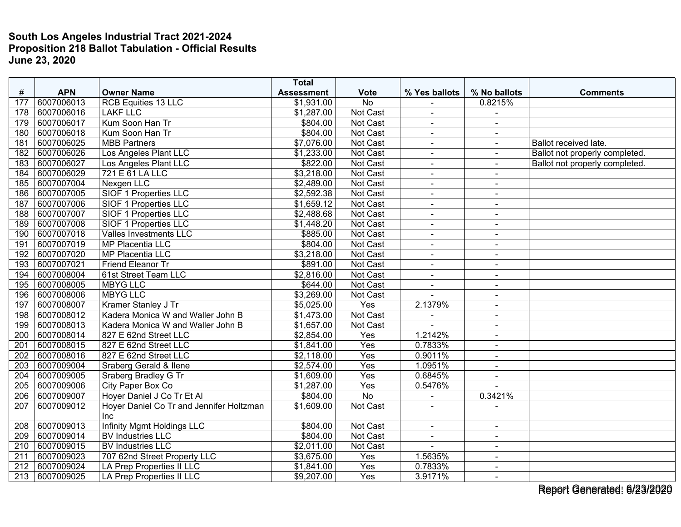|     |            |                                          | <b>Total</b>      |                 |                |                          |                                |
|-----|------------|------------------------------------------|-------------------|-----------------|----------------|--------------------------|--------------------------------|
| #   | <b>APN</b> | <b>Owner Name</b>                        | <b>Assessment</b> | <b>Vote</b>     | % Yes ballots  | % No ballots             | <b>Comments</b>                |
| 177 | 6007006013 | RCB Equities 13 LLC                      | \$1,931.00        | <b>No</b>       |                | 0.8215%                  |                                |
| 178 | 6007006016 | <b>LAKF LLC</b>                          | \$1,287.00        | <b>Not Cast</b> | $\blacksquare$ | $\sim$                   |                                |
| 179 | 6007006017 | Kum Soon Han Tr                          | \$804.00          | Not Cast        | $\blacksquare$ | $\blacksquare$           |                                |
| 180 | 6007006018 | Kum Soon Han Tr                          | \$804.00          | Not Cast        | ÷,             | $\blacksquare$           |                                |
| 181 | 6007006025 | <b>MBB Partners</b>                      | \$7,076.00        | <b>Not Cast</b> | $\blacksquare$ | $\sim$                   | Ballot received late.          |
| 182 | 6007006026 | Los Angeles Plant LLC                    | \$1,233.00        | Not Cast        | $\blacksquare$ | $\ddot{\phantom{1}}$     | Ballot not properly completed. |
| 183 | 6007006027 | Los Angeles Plant LLC                    | \$822.00          | Not Cast        |                |                          | Ballot not properly completed. |
| 184 | 6007006029 | 721 E 61 LA LLC                          | \$3,218.00        | Not Cast        | $\blacksquare$ | $\sim$                   |                                |
| 185 | 6007007004 | Nexgen LLC                               | \$2,489.00        | Not Cast        | $\blacksquare$ | $\blacksquare$           |                                |
| 186 | 6007007005 | <b>SIOF 1 Properties LLC</b>             | \$2,592.38        | Not Cast        | $\blacksquare$ | $\overline{\phantom{a}}$ |                                |
| 187 | 6007007006 | SIOF 1 Properties LLC                    | \$1,659.12        | Not Cast        | $\blacksquare$ | $\blacksquare$           |                                |
| 188 | 6007007007 | SIOF 1 Properties LLC                    | \$2,488.68        | Not Cast        | $\blacksquare$ | $\sim$                   |                                |
| 189 | 6007007008 | SIOF 1 Properties LLC                    | \$1,448.20        | Not Cast        | ÷,             | $\blacksquare$           |                                |
| 190 | 6007007018 | Valles Investments LLC                   | \$885.00          | Not Cast        |                |                          |                                |
| 191 | 6007007019 | <b>MP Placentia LLC</b>                  | \$804.00          | Not Cast        | $\blacksquare$ | $\sim$                   |                                |
| 192 | 6007007020 | MP Placentia LLC                         | \$3,218.00        | Not Cast        | $\blacksquare$ | $\blacksquare$           |                                |
| 193 | 6007007021 | Friend Eleanor Tr                        | \$891.00          | Not Cast        | $\blacksquare$ | $\sim$                   |                                |
| 194 | 6007008004 | 61st Street Team LLC                     | \$2,816.00        | Not Cast        | $\blacksquare$ | $\sim$                   |                                |
| 195 | 6007008005 | <b>MBYG LLC</b>                          | \$644.00          | Not Cast        | $\blacksquare$ | $\sim$                   |                                |
| 196 | 6007008006 | <b>MBYG LLC</b>                          | \$3,269.00        | Not Cast        |                | $\sim$                   |                                |
| 197 | 6007008007 | Kramer Stanley J Tr                      | \$5,025.00        | Yes             | 2.1379%        | $\overline{a}$           |                                |
| 198 | 6007008012 | Kadera Monica W and Waller John B        | \$1,473.00        | Not Cast        |                | $\blacksquare$           |                                |
| 199 | 6007008013 | Kadera Monica W and Waller John B        | \$1,657.00        | <b>Not Cast</b> | ä,             | $\sim$                   |                                |
| 200 | 6007008014 | 827 E 62nd Street LLC                    | \$2,854.00        | Yes             | 1.2142%        | $\sim$                   |                                |
| 201 | 6007008015 | 827 E 62nd Street LLC                    | \$1,841.00        | Yes             | 0.7833%        | $\blacksquare$           |                                |
| 202 | 6007008016 | 827 E 62nd Street LLC                    | \$2,118.00        | Yes             | 0.9011%        | $\blacksquare$           |                                |
| 203 | 6007009004 | <b>Sraberg Gerald &amp; Ilene</b>        | \$2,574.00        | Yes             | 1.0951%        | $\sim$                   |                                |
| 204 | 6007009005 | Sraberg Bradley G Tr                     | \$1,609.00        | Yes             | 0.6845%        |                          |                                |
| 205 | 6007009006 | City Paper Box Co                        | \$1,287.00        | Yes             | 0.5476%        | $\overline{a}$           |                                |
| 206 | 6007009007 | Hoyer Daniel J Co Tr Et Al               | \$804.00          | $\overline{No}$ | $\blacksquare$ | 0.3421%                  |                                |
| 207 | 6007009012 | Hoyer Daniel Co Tr and Jennifer Holtzman | \$1,609.00        | Not Cast        |                |                          |                                |
|     |            | <b>Inc</b>                               |                   |                 |                |                          |                                |
| 208 | 6007009013 | Infinity Mgmt Holdings LLC               | \$804.00          | Not Cast        | $\blacksquare$ | $\blacksquare$           |                                |
| 209 | 6007009014 | <b>BV Industries LLC</b>                 | \$804.00          | Not Cast        | $\blacksquare$ | $\sim$                   |                                |
| 210 | 6007009015 | <b>BV Industries LLC</b>                 | \$2,011.00        | Not Cast        |                | $\overline{a}$           |                                |
| 211 | 6007009023 | 707 62nd Street Property LLC             | \$3,675.00        | Yes             | 1.5635%        | $\blacksquare$           |                                |
| 212 | 6007009024 | LA Prep Properties II LLC                | \$1,841.00        | Yes             | 0.7833%        | $\sim$                   |                                |
| 213 | 6007009025 | LA Prep Properties II LLC                | \$9,207.00        | Yes             | 3.9171%        | $\sim$                   |                                |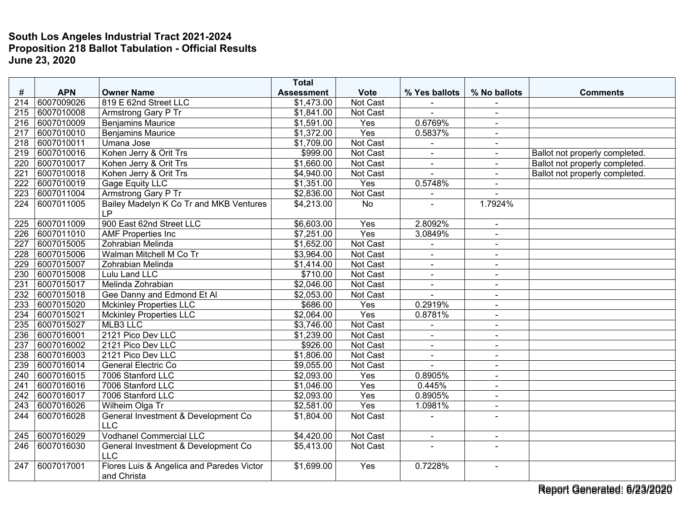|                  |            |                                           | <b>Total</b>      |                 |                |                |                                |
|------------------|------------|-------------------------------------------|-------------------|-----------------|----------------|----------------|--------------------------------|
| #                | <b>APN</b> | <b>Owner Name</b>                         | <b>Assessment</b> | <b>Vote</b>     | % Yes ballots  | % No ballots   | <b>Comments</b>                |
| 214              | 6007009026 | 819 E 62nd Street LLC                     | \$1,473.00        | Not Cast        |                |                |                                |
| 215              | 6007010008 | <b>Armstrong Gary P Tr</b>                | \$1,841.00        | <b>Not Cast</b> |                | $\blacksquare$ |                                |
| 216              | 6007010009 | <b>Benjamins Maurice</b>                  | \$1,591.00        | Yes             | 0.6769%        | $\blacksquare$ |                                |
| 217              | 6007010010 | <b>Benjamins Maurice</b>                  | \$1,372.00        | Yes             | 0.5837%        | $\blacksquare$ |                                |
| 218              | 6007010011 | Umana Jose                                | \$1,709.00        | <b>Not Cast</b> |                | $\blacksquare$ |                                |
| 219              | 6007010016 | Kohen Jerry & Orit Trs                    | \$999.00          | Not Cast        |                | $\sim$         | Ballot not properly completed. |
| 220              | 6007010017 | Kohen Jerry & Orit Trs                    | \$1,660.00        | Not Cast        |                |                | Ballot not properly completed. |
| 221              | 6007010018 | Kohen Jerry & Orit Trs                    | \$4,940.00        | <b>Not Cast</b> | $\sim$         | $\blacksquare$ | Ballot not properly completed. |
| 222              | 6007010019 | Gage Equity LLC                           | \$1,351.00        | Yes             | 0.5748%        | $\sim$         |                                |
| 223              | 6007011004 | Armstrong Gary P Tr                       | \$2,836.00        | Not Cast        |                |                |                                |
| 224              | 6007011005 | Bailey Madelyn K Co Tr and MKB Ventures   | \$4,213.00        | No              |                | 1.7924%        |                                |
|                  |            | <b>LP</b>                                 |                   |                 |                |                |                                |
| 225              | 6007011009 | 900 East 62nd Street LLC                  | \$6,603.00        | Yes             | 2.8092%        | $\blacksquare$ |                                |
| $\overline{226}$ | 6007011010 | <b>AMF</b> Properties Inc                 | \$7,251.00        | Yes             | 3.0849%        | $\overline{a}$ |                                |
| 227              | 6007015005 | Zohrabian Melinda                         | \$1,652.00        | Not Cast        |                | $\sim$         |                                |
| 228              | 6007015006 | Walman Mitchell M Co Tr                   | \$3,964.00        | <b>Not Cast</b> | $\overline{a}$ | $\blacksquare$ |                                |
| 229              | 6007015007 | Zohrabian Melinda                         | \$1,414.00        | Not Cast        | $\blacksquare$ | $\blacksquare$ |                                |
| 230              | 6007015008 | Lulu Land LLC                             | \$710.00          | Not Cast        | $\sim$         | $\blacksquare$ |                                |
| 231              | 6007015017 | Melinda Zohrabian                         | \$2,046.00        | <b>Not Cast</b> | $\sim$         | $\sim$         |                                |
| 232              | 6007015018 | Gee Danny and Edmond Et Al                | \$2,053.00        | <b>Not Cast</b> |                | $\sim$         |                                |
| 233              | 6007015020 | <b>Mckinley Properties LLC</b>            | \$686.00          | Yes             | 0.2919%        | $\sim$         |                                |
| 234              | 6007015021 | <b>Mckinley Properties LLC</b>            | \$2,064.00        | Yes             | 0.8781%        | $\sim$         |                                |
| 235              | 6007015027 | MLB3 LLC                                  | \$3,746.00        | Not Cast        | $\overline{a}$ | $\sim$         |                                |
| 236              | 6007016001 | 2121 Pico Dev LLC                         | \$1,239.00        | Not Cast        | $\blacksquare$ | $\blacksquare$ |                                |
| 237              | 6007016002 | 2121 Pico Dev LLC                         | \$926.00          | <b>Not Cast</b> | $\sim$         | $\sim$         |                                |
| 238              | 6007016003 | 2121 Pico Dev LLC                         | \$1,806.00        | Not Cast        | $\blacksquare$ | $\blacksquare$ |                                |
| 239              | 6007016014 | General Electric Co                       | \$9,055.00        | Not Cast        |                | $\sim$         |                                |
| 240              | 6007016015 | 7006 Stanford LLC                         | \$2,093.00        | Yes             | 0.8905%        | $\sim$         |                                |
| 241              | 6007016016 | 7006 Stanford LLC                         | \$1,046.00        | Yes             | 0.445%         | $\sim$         |                                |
| 242              | 6007016017 | 7006 Stanford LLC                         | \$2,093.00        | Yes             | 0.8905%        | $\blacksquare$ |                                |
| 243              | 6007016026 | Wilheim Olga Tr                           | \$2,581.00        | Yes             | 1.0981%        | $\blacksquare$ |                                |
| 244              | 6007016028 | General Investment & Development Co       | \$1,804.00        | <b>Not Cast</b> |                | $\sim$         |                                |
|                  |            | <b>LLC</b>                                |                   |                 |                |                |                                |
| 245              | 6007016029 | <b>Vodhanel Commercial LLC</b>            | \$4,420.00        | Not Cast        | $\blacksquare$ | $\blacksquare$ |                                |
| 246              | 6007016030 | General Investment & Development Co       | \$5,413.00        | Not Cast        |                |                |                                |
|                  |            | <b>LLC</b>                                |                   |                 |                |                |                                |
| 247              | 6007017001 | Flores Luis & Angelica and Paredes Victor | \$1,699.00        | Yes             | 0.7228%        | $\blacksquare$ |                                |
|                  |            | and Christa                               |                   |                 |                |                |                                |